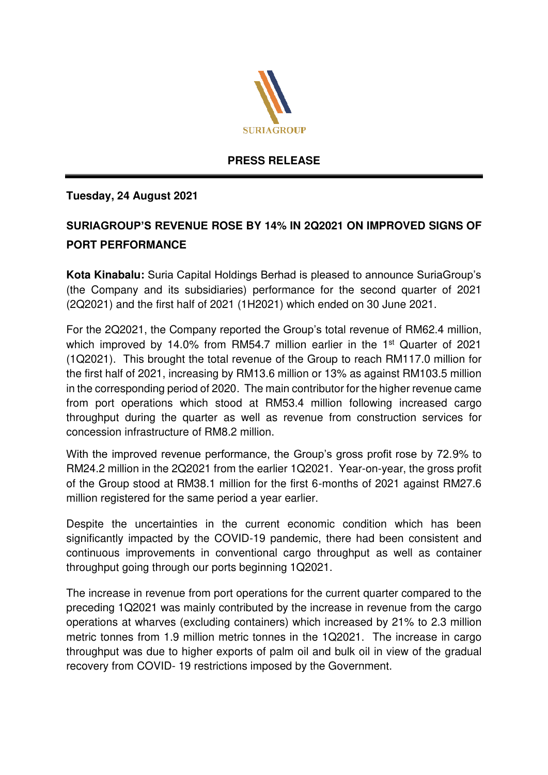

## **PRESS RELEASE**

## **Tuesday, 24 August 2021**

## **SURIAGROUP'S REVENUE ROSE BY 14% IN 2Q2021 ON IMPROVED SIGNS OF PORT PERFORMANCE**

**Kota Kinabalu:** Suria Capital Holdings Berhad is pleased to announce SuriaGroup's (the Company and its subsidiaries) performance for the second quarter of 2021 (2Q2021) and the first half of 2021 (1H2021) which ended on 30 June 2021.

For the 2Q2021, the Company reported the Group's total revenue of RM62.4 million, which improved by 14.0% from RM54.7 million earlier in the 1<sup>st</sup> Quarter of 2021 (1Q2021). This brought the total revenue of the Group to reach RM117.0 million for the first half of 2021, increasing by RM13.6 million or 13% as against RM103.5 million in the corresponding period of 2020. The main contributor for the higher revenue came from port operations which stood at RM53.4 million following increased cargo throughput during the quarter as well as revenue from construction services for concession infrastructure of RM8.2 million.

With the improved revenue performance, the Group's gross profit rose by 72.9% to RM24.2 million in the 2Q2021 from the earlier 1Q2021. Year-on-year, the gross profit of the Group stood at RM38.1 million for the first 6-months of 2021 against RM27.6 million registered for the same period a year earlier.

Despite the uncertainties in the current economic condition which has been significantly impacted by the COVID-19 pandemic, there had been consistent and continuous improvements in conventional cargo throughput as well as container throughput going through our ports beginning 1Q2021.

The increase in revenue from port operations for the current quarter compared to the preceding 1Q2021 was mainly contributed by the increase in revenue from the cargo operations at wharves (excluding containers) which increased by 21% to 2.3 million metric tonnes from 1.9 million metric tonnes in the 1Q2021. The increase in cargo throughput was due to higher exports of palm oil and bulk oil in view of the gradual recovery from COVID- 19 restrictions imposed by the Government.